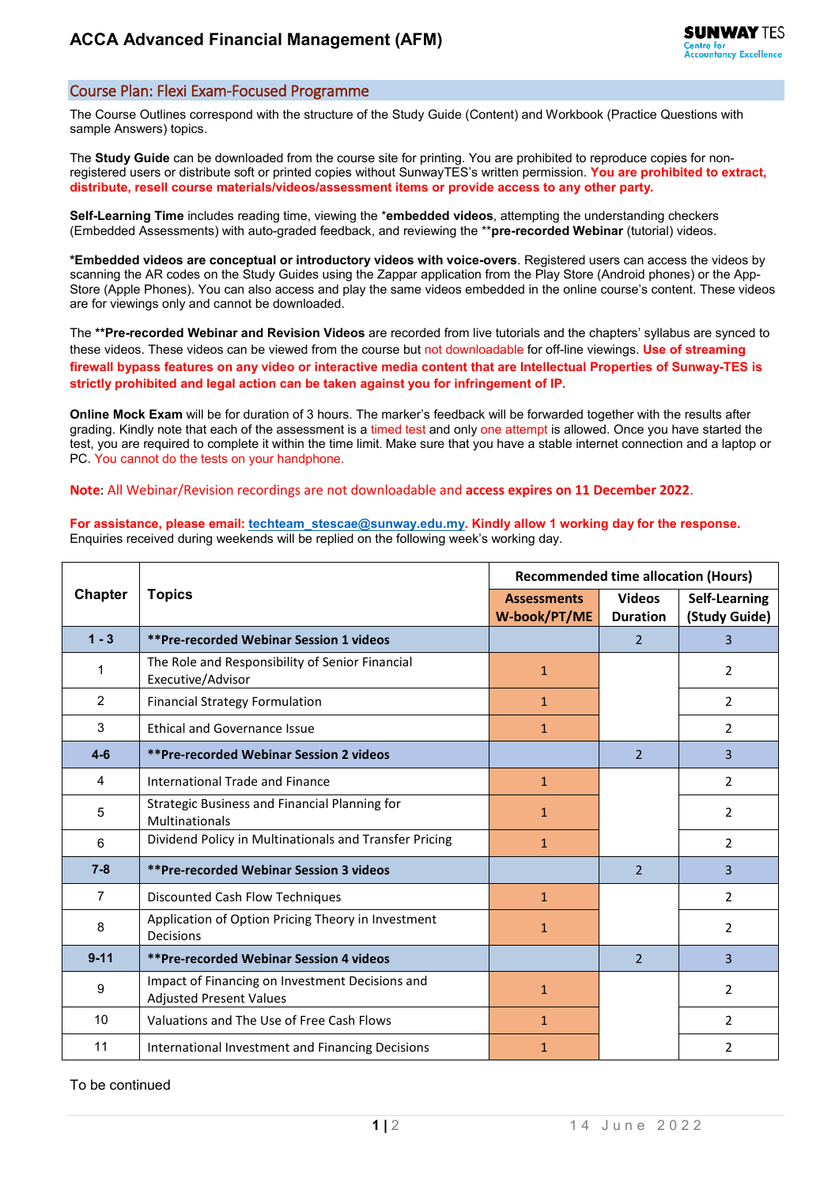## Course Plan: Flexi Exam-Focused Programme

The Course Outlines correspond with the structure of the Study Guide (Content) and Workbook (Practice Questions with sample Answers) topics.

The **Study Guide** can be downloaded from the course site for printing. You are prohibited to reproduce copies for nonregistered users or distribute soft or printed copies without SunwayTES's written permission. **You are prohibited to extract, distribute, resell course materials/videos/assessment items or provide access to any other party.**

**Self-Learning Time** includes reading time, viewing the \***embedded videos**, attempting the understanding checkers (Embedded Assessments) with auto-graded feedback, and reviewing the \*\***pre-recorded Webinar** (tutorial) videos.

**\*Embedded videos are conceptual or introductory videos with voice-overs**. Registered users can access the videos by scanning the AR codes on the Study Guides using the Zappar application from the Play Store (Android phones) or the App-Store (Apple Phones). You can also access and play the same videos embedded in the online course's content. These videos are for viewings only and cannot be downloaded.

The **\*\*Pre-recorded Webinar and Revision Videos** are recorded from live tutorials and the chapters' syllabus are synced to these videos. These videos can be viewed from the course but not downloadable for off-line viewings. **Use of streaming firewall bypass features on any video or interactive media content that are Intellectual Properties of Sunway-TES is strictly prohibited and legal action can be taken against you for infringement of IP.**

**Online Mock Exam** will be for duration of 3 hours. The marker's feedback will be forwarded together with the results after grading. Kindly note that each of the assessment is a timed test and only one attempt is allowed. Once you have started the test, you are required to complete it within the time limit. Make sure that you have a stable internet connection and a laptop or PC. You cannot do the tests on your handphone.

**Note**: All Webinar/Revision recordings are not downloadable and **access expires on 11 December 2022**.

**For assistance, please email[: techteam\\_stescae@sunway.edu.my.](mailto:techteam_stescae@sunway.edu.my) Kindly allow 1 working day for the response.**  Enquiries received during weekends will be replied on the following week's working day.

| <b>Chapter</b> | <b>Topics</b>                                                                     | <b>Recommended time allocation (Hours)</b> |                                  |                                |
|----------------|-----------------------------------------------------------------------------------|--------------------------------------------|----------------------------------|--------------------------------|
|                |                                                                                   | <b>Assessments</b><br>W-book/PT/ME         | <b>Videos</b><br><b>Duration</b> | Self-Learning<br>(Study Guide) |
| $1 - 3$        | **Pre-recorded Webinar Session 1 videos                                           |                                            | 2                                | 3                              |
| 1              | The Role and Responsibility of Senior Financial<br>Executive/Advisor              | $\mathbf{1}$                               |                                  | 2                              |
| 2              | <b>Financial Strategy Formulation</b>                                             | $\mathbf{1}$                               |                                  | $\overline{2}$                 |
| 3              | <b>Ethical and Governance Issue</b>                                               | $\mathbf{1}$                               |                                  | $\mathcal{P}$                  |
| $4-6$          | **Pre-recorded Webinar Session 2 videos                                           |                                            | $\overline{2}$                   | $\overline{3}$                 |
| 4              | International Trade and Finance                                                   | $\mathbf{1}$                               |                                  | $\mathcal{P}$                  |
| 5              | Strategic Business and Financial Planning for<br>Multinationals                   | 1                                          |                                  | 2                              |
| 6              | Dividend Policy in Multinationals and Transfer Pricing                            | $\mathbf{1}$                               |                                  | $\overline{2}$                 |
| $7 - 8$        | **Pre-recorded Webinar Session 3 videos                                           |                                            | $\overline{\phantom{a}}$         | $\overline{3}$                 |
| $\overline{7}$ | Discounted Cash Flow Techniques                                                   | $\mathbf{1}$                               |                                  | $\mathfrak{p}$                 |
| 8              | Application of Option Pricing Theory in Investment<br>Decisions                   | $\mathbf{1}$                               |                                  | $\overline{2}$                 |
| $9 - 11$       | **Pre-recorded Webinar Session 4 videos                                           |                                            | 2                                | 3                              |
| 9              | Impact of Financing on Investment Decisions and<br><b>Adjusted Present Values</b> | $\mathbf{1}$                               |                                  | 2                              |
| 10             | Valuations and The Use of Free Cash Flows                                         | $\mathbf{1}$                               |                                  | $\mathcal{L}$                  |
| 11             | International Investment and Financing Decisions                                  | 1                                          |                                  | $\overline{2}$                 |

To be continued